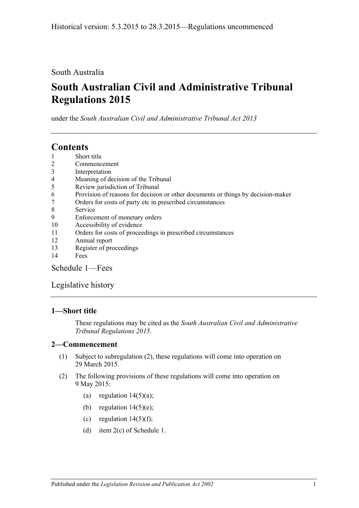## South Australia

# **South Australian Civil and Administrative Tribunal Regulations 2015**

under the *South Australian Civil and Administrative Tribunal Act 2013*

## **Contents**

- 1 [Short title](#page-0-0)
- 2 [Commencement](#page-0-1)
- 3 [Interpretation](#page-1-0)
- 4 [Meaning of decision of the Tribunal](#page-1-1)
- 5 [Review jurisdiction of Tribunal](#page-1-2)
- 6 [Provision of reasons for decision or other documents or things by decision-maker](#page-2-0)
- 7 [Orders for costs of party etc in prescribed circumstances](#page-2-1)
- 8 [Service](#page-3-0)
- 9 [Enforcement of monetary orders](#page-3-1)
- 10 [Accessibility of evidence](#page-4-0)
- 11 [Orders for costs of proceedings in prescribed circumstances](#page-4-1)
- 12 [Annual report](#page-5-0)
- 13 [Register of proceedings](#page-5-1)
- 14 [Fees](#page-6-0)

[Schedule](#page-8-0) 1—Fees

## [Legislative history](#page-9-0)

## <span id="page-0-0"></span>**1—Short title**

These regulations may be cited as the *South Australian Civil and Administrative Tribunal Regulations 2015*.

## <span id="page-0-1"></span>**2—Commencement**

- (1) Subject to [subregulation](#page-0-2) (2), these regulations will come into operation on 29 March 2015.
- <span id="page-0-2"></span>(2) The following provisions of these regulations will come into operation on 9 May 2015:
	- (a) [regulation](#page-6-1)  $14(5)(a)$ ;
	- (b) [regulation](#page-7-0)  $14(5)(e)$ ;
	- (c) [regulation](#page-7-1)  $14(5)(f)$ ;
	- (d) item 2(c) of [Schedule](#page-8-0) 1.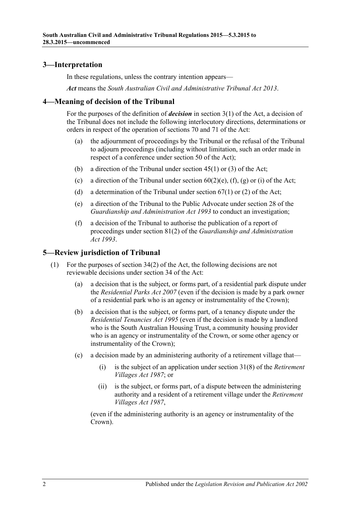### <span id="page-1-0"></span>**3—Interpretation**

In these regulations, unless the contrary intention appears—

*Act* means the *[South Australian Civil and Administrative Tribunal Act](http://www.legislation.sa.gov.au/index.aspx?action=legref&type=act&legtitle=South%20Australian%20Civil%20and%20Administrative%20Tribunal%20Act%202013) 2013*.

## <span id="page-1-1"></span>**4—Meaning of decision of the Tribunal**

For the purposes of the definition of *decision* in section 3(1) of the Act, a decision of the Tribunal does not include the following interlocutory directions, determinations or orders in respect of the operation of sections 70 and 71 of the Act:

- (a) the adjournment of proceedings by the Tribunal or the refusal of the Tribunal to adjourn proceedings (including without limitation, such an order made in respect of a conference under section 50 of the Act);
- (b) a direction of the Tribunal under section 45(1) or (3) of the Act;
- (c) a direction of the Tribunal under section  $60(2)(e)$ ,  $(f)$ ,  $(g)$  or  $(i)$  of the Act;
- (d) a determination of the Tribunal under section  $67(1)$  or (2) of the Act;
- (e) a direction of the Tribunal to the Public Advocate under section 28 of the *[Guardianship and Administration Act](http://www.legislation.sa.gov.au/index.aspx?action=legref&type=act&legtitle=Guardianship%20and%20Administration%20Act%201993) 1993* to conduct an investigation;
- (f) a decision of the Tribunal to authorise the publication of a report of proceedings under section 81(2) of the *[Guardianship and Administration](http://www.legislation.sa.gov.au/index.aspx?action=legref&type=act&legtitle=Guardianship%20and%20Administration%20Act%201993)  Act [1993](http://www.legislation.sa.gov.au/index.aspx?action=legref&type=act&legtitle=Guardianship%20and%20Administration%20Act%201993)*.

## <span id="page-1-2"></span>**5—Review jurisdiction of Tribunal**

- (1) For the purposes of section 34(2) of the Act, the following decisions are not reviewable decisions under section 34 of the Act:
	- (a) a decision that is the subject, or forms part, of a residential park dispute under the *[Residential Parks Act](http://www.legislation.sa.gov.au/index.aspx?action=legref&type=act&legtitle=Residential%20Parks%20Act%202007) 2007* (even if the decision is made by a park owner of a residential park who is an agency or instrumentality of the Crown);
	- (b) a decision that is the subject, or forms part, of a tenancy dispute under the *[Residential Tenancies Act](http://www.legislation.sa.gov.au/index.aspx?action=legref&type=act&legtitle=Residential%20Tenancies%20Act%201995) 1995* (even if the decision is made by a landlord who is the South Australian Housing Trust, a community housing provider who is an agency or instrumentality of the Crown, or some other agency or instrumentality of the Crown);
	- (c) a decision made by an administering authority of a retirement village that—
		- (i) is the subject of an application under section 31(8) of the *[Retirement](http://www.legislation.sa.gov.au/index.aspx?action=legref&type=act&legtitle=Retirement%20Villages%20Act%201987)  [Villages Act](http://www.legislation.sa.gov.au/index.aspx?action=legref&type=act&legtitle=Retirement%20Villages%20Act%201987) 1987*; or
		- (ii) is the subject, or forms part, of a dispute between the administering authority and a resident of a retirement village under the *[Retirement](http://www.legislation.sa.gov.au/index.aspx?action=legref&type=act&legtitle=Retirement%20Villages%20Act%201987)  [Villages Act](http://www.legislation.sa.gov.au/index.aspx?action=legref&type=act&legtitle=Retirement%20Villages%20Act%201987) 1987*,

(even if the administering authority is an agency or instrumentality of the Crown).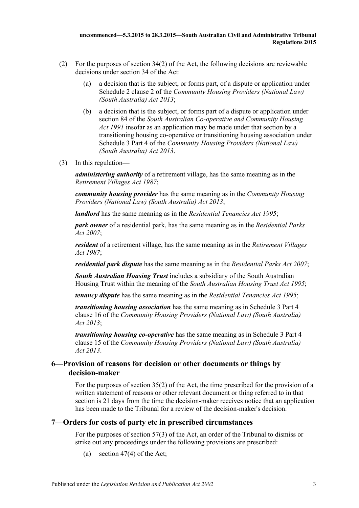- (2) For the purposes of section  $34(2)$  of the Act, the following decisions are reviewable decisions under section 34 of the Act:
	- (a) a decision that is the subject, or forms part, of a dispute or application under Schedule 2 clause 2 of the *[Community Housing Providers \(National Law\)](http://www.legislation.sa.gov.au/index.aspx?action=legref&type=act&legtitle=Community%20Housing%20Providers%20(National%20Law)%20(South%20Australia)%20Act%202013)  [\(South Australia\) Act](http://www.legislation.sa.gov.au/index.aspx?action=legref&type=act&legtitle=Community%20Housing%20Providers%20(National%20Law)%20(South%20Australia)%20Act%202013) 2013*;
	- (b) a decision that is the subject, or forms part of a dispute or application under section 84 of the *[South Australian Co-operative and Community Housing](http://www.legislation.sa.gov.au/index.aspx?action=legref&type=act&legtitle=South%20Australian%20Co-operative%20and%20Community%20Housing%20Act%201991)  Act [1991](http://www.legislation.sa.gov.au/index.aspx?action=legref&type=act&legtitle=South%20Australian%20Co-operative%20and%20Community%20Housing%20Act%201991)* insofar as an application may be made under that section by a transitioning housing co-operative or transitioning housing association under Schedule 3 Part 4 of the *[Community Housing Providers \(National Law\)](http://www.legislation.sa.gov.au/index.aspx?action=legref&type=act&legtitle=Community%20Housing%20Providers%20(National%20Law)%20(South%20Australia)%20Act%202013)  [\(South Australia\) Act](http://www.legislation.sa.gov.au/index.aspx?action=legref&type=act&legtitle=Community%20Housing%20Providers%20(National%20Law)%20(South%20Australia)%20Act%202013) 2013*.
- (3) In this regulation—

*administering authority* of a retirement village, has the same meaning as in the *[Retirement Villages Act](http://www.legislation.sa.gov.au/index.aspx?action=legref&type=act&legtitle=Retirement%20Villages%20Act%201987) 1987*;

*community housing provider* has the same meaning as in the *[Community Housing](http://www.legislation.sa.gov.au/index.aspx?action=legref&type=act&legtitle=Community%20Housing%20Providers%20(National%20Law)%20(South%20Australia)%20Act%202013)  [Providers \(National Law\) \(South Australia\) Act](http://www.legislation.sa.gov.au/index.aspx?action=legref&type=act&legtitle=Community%20Housing%20Providers%20(National%20Law)%20(South%20Australia)%20Act%202013) 2013*;

*landlord* has the same meaning as in the *[Residential Tenancies Act](http://www.legislation.sa.gov.au/index.aspx?action=legref&type=act&legtitle=Residential%20Tenancies%20Act%201995) 1995*;

*park owner* of a residential park, has the same meaning as in the *[Residential Parks](http://www.legislation.sa.gov.au/index.aspx?action=legref&type=act&legtitle=Residential%20Parks%20Act%202007)  Act [2007](http://www.legislation.sa.gov.au/index.aspx?action=legref&type=act&legtitle=Residential%20Parks%20Act%202007)*;

*resident* of a retirement village, has the same meaning as in the *[Retirement Villages](http://www.legislation.sa.gov.au/index.aspx?action=legref&type=act&legtitle=Retirement%20Villages%20Act%201987)  Act [1987](http://www.legislation.sa.gov.au/index.aspx?action=legref&type=act&legtitle=Retirement%20Villages%20Act%201987)*;

*residential park dispute* has the same meaning as in the *[Residential Parks Act](http://www.legislation.sa.gov.au/index.aspx?action=legref&type=act&legtitle=Residential%20Parks%20Act%202007) 2007*;

*South Australian Housing Trust* includes a subsidiary of the South Australian Housing Trust within the meaning of the *[South Australian Housing Trust Act](http://www.legislation.sa.gov.au/index.aspx?action=legref&type=act&legtitle=South%20Australian%20Housing%20Trust%20Act%201995) 1995*;

*tenancy dispute* has the same meaning as in the *[Residential Tenancies Act](http://www.legislation.sa.gov.au/index.aspx?action=legref&type=act&legtitle=Residential%20Tenancies%20Act%201995) 1995*;

*transitioning housing association* has the same meaning as in Schedule 3 Part 4 clause 16 of the *[Community Housing Providers \(National Law\) \(South Australia\)](http://www.legislation.sa.gov.au/index.aspx?action=legref&type=act&legtitle=Community%20Housing%20Providers%20(National%20Law)%20(South%20Australia)%20Act%202013)  Act [2013](http://www.legislation.sa.gov.au/index.aspx?action=legref&type=act&legtitle=Community%20Housing%20Providers%20(National%20Law)%20(South%20Australia)%20Act%202013)*;

*transitioning housing co-operative* has the same meaning as in Schedule 3 Part 4 clause 15 of the *[Community Housing Providers \(National Law\) \(South Australia\)](http://www.legislation.sa.gov.au/index.aspx?action=legref&type=act&legtitle=Community%20Housing%20Providers%20(National%20Law)%20(South%20Australia)%20Act%202013)  Act [2013](http://www.legislation.sa.gov.au/index.aspx?action=legref&type=act&legtitle=Community%20Housing%20Providers%20(National%20Law)%20(South%20Australia)%20Act%202013)*.

## <span id="page-2-0"></span>**6—Provision of reasons for decision or other documents or things by decision-maker**

For the purposes of section 35(2) of the Act, the time prescribed for the provision of a written statement of reasons or other relevant document or thing referred to in that section is 21 days from the time the decision-maker receives notice that an application has been made to the Tribunal for a review of the decision-maker's decision.

## <span id="page-2-1"></span>**7—Orders for costs of party etc in prescribed circumstances**

For the purposes of section 57(3) of the Act, an order of the Tribunal to dismiss or strike out any proceedings under the following provisions are prescribed:

(a) section 47(4) of the Act;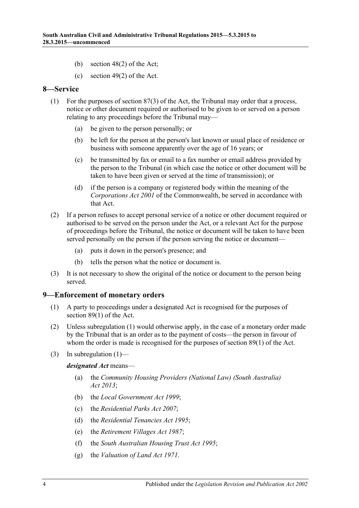- (b) section 48(2) of the Act;
- (c) section 49(2) of the Act.

#### <span id="page-3-0"></span>**8—Service**

- (1) For the purposes of section 87(3) of the Act, the Tribunal may order that a process, notice or other document required or authorised to be given to or served on a person relating to any proceedings before the Tribunal may—
	- (a) be given to the person personally; or
	- (b) be left for the person at the person's last known or usual place of residence or business with someone apparently over the age of 16 years; or
	- (c) be transmitted by fax or email to a fax number or email address provided by the person to the Tribunal (in which case the notice or other document will be taken to have been given or served at the time of transmission); or
	- (d) if the person is a company or registered body within the meaning of the *Corporations Act 2001* of the Commonwealth, be served in accordance with that Act.
- (2) If a person refuses to accept personal service of a notice or other document required or authorised to be served on the person under the Act, or a relevant Act for the purpose of proceedings before the Tribunal, the notice or document will be taken to have been served personally on the person if the person serving the notice or document—
	- (a) puts it down in the person's presence; and
	- (b) tells the person what the notice or document is.
- (3) It is not necessary to show the original of the notice or document to the person being served.

#### <span id="page-3-2"></span><span id="page-3-1"></span>**9—Enforcement of monetary orders**

- (1) A party to proceedings under a designated Act is recognised for the purposes of section 89(1) of the Act.
- (2) Unless [subregulation](#page-3-2) (1) would otherwise apply, in the case of a monetary order made by the Tribunal that is an order as to the payment of costs—the person in favour of whom the order is made is recognised for the purposes of section 89(1) of the Act.
- (3) In [subregulation](#page-3-2)  $(1)$ —

*designated Act* means—

- (a) the *[Community Housing Providers \(National Law\) \(South Australia\)](http://www.legislation.sa.gov.au/index.aspx?action=legref&type=act&legtitle=Community%20Housing%20Providers%20(National%20Law)%20(South%20Australia)%20Act%202013)  Act [2013](http://www.legislation.sa.gov.au/index.aspx?action=legref&type=act&legtitle=Community%20Housing%20Providers%20(National%20Law)%20(South%20Australia)%20Act%202013)*;
- (b) the *[Local Government Act](http://www.legislation.sa.gov.au/index.aspx?action=legref&type=act&legtitle=Local%20Government%20Act%201999) 1999*;
- (c) the *[Residential Parks Act](http://www.legislation.sa.gov.au/index.aspx?action=legref&type=act&legtitle=Residential%20Parks%20Act%202007) 2007*;
- (d) the *[Residential Tenancies Act](http://www.legislation.sa.gov.au/index.aspx?action=legref&type=act&legtitle=Residential%20Tenancies%20Act%201995) 1995*;
- (e) the *[Retirement Villages Act](http://www.legislation.sa.gov.au/index.aspx?action=legref&type=act&legtitle=Retirement%20Villages%20Act%201987) 1987*;
- (f) the *[South Australian Housing Trust Act](http://www.legislation.sa.gov.au/index.aspx?action=legref&type=act&legtitle=South%20Australian%20Housing%20Trust%20Act%201995) 1995*;
- (g) the *[Valuation of Land Act](http://www.legislation.sa.gov.au/index.aspx?action=legref&type=act&legtitle=Valuation%20of%20Land%20Act%201971) 1971*.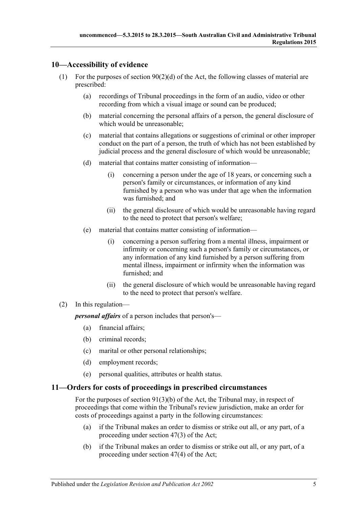## <span id="page-4-0"></span>**10—Accessibility of evidence**

- (1) For the purposes of section  $90(2)(d)$  of the Act, the following classes of material are prescribed:
	- (a) recordings of Tribunal proceedings in the form of an audio, video or other recording from which a visual image or sound can be produced;
	- (b) material concerning the personal affairs of a person, the general disclosure of which would be unreasonable;
	- (c) material that contains allegations or suggestions of criminal or other improper conduct on the part of a person, the truth of which has not been established by judicial process and the general disclosure of which would be unreasonable;
	- (d) material that contains matter consisting of information—
		- (i) concerning a person under the age of 18 years, or concerning such a person's family or circumstances, or information of any kind furnished by a person who was under that age when the information was furnished; and
		- (ii) the general disclosure of which would be unreasonable having regard to the need to protect that person's welfare;
	- (e) material that contains matter consisting of information—
		- (i) concerning a person suffering from a mental illness, impairment or infirmity or concerning such a person's family or circumstances, or any information of any kind furnished by a person suffering from mental illness, impairment or infirmity when the information was furnished; and
		- (ii) the general disclosure of which would be unreasonable having regard to the need to protect that person's welfare.

#### (2) In this regulation—

*personal affairs* of a person includes that person's—

- (a) financial affairs;
- (b) criminal records;
- (c) marital or other personal relationships;
- (d) employment records;
- (e) personal qualities, attributes or health status.

#### <span id="page-4-1"></span>**11—Orders for costs of proceedings in prescribed circumstances**

For the purposes of section 91(3)(b) of the Act, the Tribunal may, in respect of proceedings that come within the Tribunal's review jurisdiction, make an order for costs of proceedings against a party in the following circumstances:

- (a) if the Tribunal makes an order to dismiss or strike out all, or any part, of a proceeding under section 47(3) of the Act;
- (b) if the Tribunal makes an order to dismiss or strike out all, or any part, of a proceeding under section 47(4) of the Act;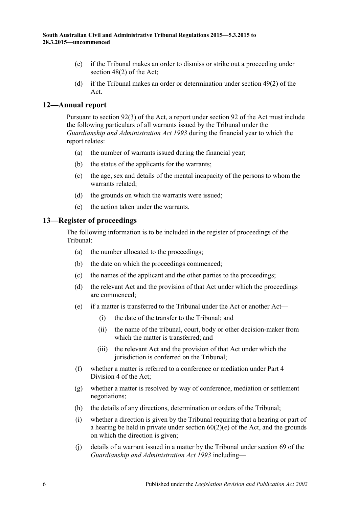- (c) if the Tribunal makes an order to dismiss or strike out a proceeding under section 48(2) of the Act;
- (d) if the Tribunal makes an order or determination under section 49(2) of the Act.

## <span id="page-5-0"></span>**12—Annual report**

Pursuant to section 92(3) of the Act, a report under section 92 of the Act must include the following particulars of all warrants issued by the Tribunal under the *[Guardianship and Administration Act](http://www.legislation.sa.gov.au/index.aspx?action=legref&type=act&legtitle=Guardianship%20and%20Administration%20Act%201993) 1993* during the financial year to which the report relates:

- (a) the number of warrants issued during the financial year;
- (b) the status of the applicants for the warrants;
- (c) the age, sex and details of the mental incapacity of the persons to whom the warrants related;
- (d) the grounds on which the warrants were issued;
- (e) the action taken under the warrants.

#### <span id="page-5-1"></span>**13—Register of proceedings**

The following information is to be included in the register of proceedings of the Tribunal:

- (a) the number allocated to the proceedings;
- (b) the date on which the proceedings commenced;
- (c) the names of the applicant and the other parties to the proceedings;
- (d) the relevant Act and the provision of that Act under which the proceedings are commenced;
- (e) if a matter is transferred to the Tribunal under the Act or another Act—
	- (i) the date of the transfer to the Tribunal; and
	- (ii) the name of the tribunal, court, body or other decision-maker from which the matter is transferred; and
	- (iii) the relevant Act and the provision of that Act under which the jurisdiction is conferred on the Tribunal:
- (f) whether a matter is referred to a conference or mediation under Part 4 Division 4 of the Act;
- (g) whether a matter is resolved by way of conference, mediation or settlement negotiations;
- (h) the details of any directions, determination or orders of the Tribunal;
- (i) whether a direction is given by the Tribunal requiring that a hearing or part of a hearing be held in private under section  $60(2)(e)$  of the Act, and the grounds on which the direction is given;
- (j) details of a warrant issued in a matter by the Tribunal under section 69 of the *[Guardianship and Administration Act](http://www.legislation.sa.gov.au/index.aspx?action=legref&type=act&legtitle=Guardianship%20and%20Administration%20Act%201993) 1993* including—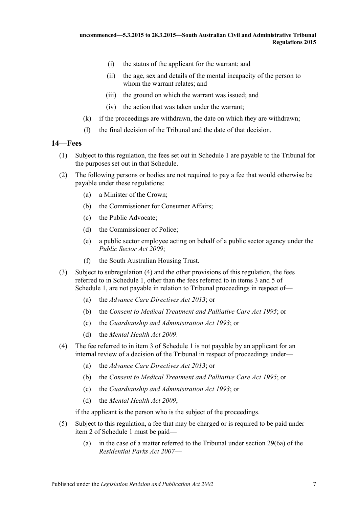- (i) the status of the applicant for the warrant; and
- (ii) the age, sex and details of the mental incapacity of the person to whom the warrant relates; and
- (iii) the ground on which the warrant was issued; and
- (iv) the action that was taken under the warrant;
- (k) if the proceedings are withdrawn, the date on which they are withdrawn;
- (l) the final decision of the Tribunal and the date of that decision.

#### <span id="page-6-0"></span>**14—Fees**

- (1) Subject to this regulation, the fees set out in [Schedule](#page-8-0) 1 are payable to the Tribunal for the purposes set out in that Schedule.
- (2) The following persons or bodies are not required to pay a fee that would otherwise be payable under these regulations:
	- (a) a Minister of the Crown;
	- (b) the Commissioner for Consumer Affairs;
	- (c) the Public Advocate;
	- (d) the Commissioner of Police;
	- (e) a public sector employee acting on behalf of a public sector agency under the *[Public Sector Act](http://www.legislation.sa.gov.au/index.aspx?action=legref&type=act&legtitle=Public%20Sector%20Act%202009) 2009*;
	- (f) the South Australian Housing Trust.
- <span id="page-6-3"></span>(3) Subject to [subregulation](#page-6-2) (4) and the other provisions of this regulation, the fees referred to in [Schedule](#page-8-0) 1, other than the fees referred to in items 3 and 5 of [Schedule](#page-8-0) 1, are not payable in relation to Tribunal proceedings in respect of—
	- (a) the *[Advance Care Directives Act](http://www.legislation.sa.gov.au/index.aspx?action=legref&type=act&legtitle=Advance%20Care%20Directives%20Act%202013) 2013*; or
	- (b) the *[Consent to Medical Treatment and Palliative Care Act](http://www.legislation.sa.gov.au/index.aspx?action=legref&type=act&legtitle=Consent%20to%20Medical%20Treatment%20and%20Palliative%20Care%20Act%201995) 1995*; or
	- (c) the *[Guardianship and Administration Act](http://www.legislation.sa.gov.au/index.aspx?action=legref&type=act&legtitle=Guardianship%20and%20Administration%20Act%201993) 1993*; or
	- (d) the *[Mental Health Act](http://www.legislation.sa.gov.au/index.aspx?action=legref&type=act&legtitle=Mental%20Health%20Act%202009) 2009*.
- <span id="page-6-2"></span>(4) The fee referred to in item 3 of [Schedule](#page-8-0) 1 is not payable by an applicant for an internal review of a decision of the Tribunal in respect of proceedings under—
	- (a) the *[Advance Care Directives Act](http://www.legislation.sa.gov.au/index.aspx?action=legref&type=act&legtitle=Advance%20Care%20Directives%20Act%202013) 2013*; or
	- (b) the *[Consent to Medical Treatment and Palliative Care Act](http://www.legislation.sa.gov.au/index.aspx?action=legref&type=act&legtitle=Consent%20to%20Medical%20Treatment%20and%20Palliative%20Care%20Act%201995) 1995*; or
	- (c) the *[Guardianship and Administration Act](http://www.legislation.sa.gov.au/index.aspx?action=legref&type=act&legtitle=Guardianship%20and%20Administration%20Act%201993) 1993*; or
	- (d) the *[Mental Health Act](http://www.legislation.sa.gov.au/index.aspx?action=legref&type=act&legtitle=Mental%20Health%20Act%202009) 2009*,

if the applicant is the person who is the subject of the proceedings.

- <span id="page-6-1"></span>(5) Subject to this regulation, a fee that may be charged or is required to be paid under item 2 of [Schedule](#page-8-0) 1 must be paid—
	- (a) in the case of a matter referred to the Tribunal under section 29(6a) of the *[Residential Parks Act](http://www.legislation.sa.gov.au/index.aspx?action=legref&type=act&legtitle=Residential%20Parks%20Act%202007) 2007*—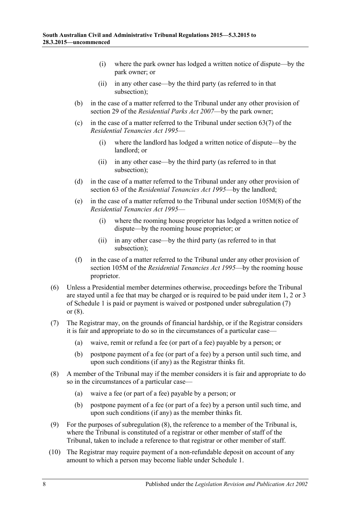- (i) where the park owner has lodged a written notice of dispute—by the park owner; or
- (ii) in any other case—by the third party (as referred to in that subsection);
- (b) in the case of a matter referred to the Tribunal under any other provision of section 29 of the *[Residential Parks Act](http://www.legislation.sa.gov.au/index.aspx?action=legref&type=act&legtitle=Residential%20Parks%20Act%202007) 2007*—by the park owner;
- (c) in the case of a matter referred to the Tribunal under section  $63(7)$  of the *[Residential Tenancies Act](http://www.legislation.sa.gov.au/index.aspx?action=legref&type=act&legtitle=Residential%20Tenancies%20Act%201995) 1995*—
	- (i) where the landlord has lodged a written notice of dispute—by the landlord; or
	- (ii) in any other case—by the third party (as referred to in that subsection);
- (d) in the case of a matter referred to the Tribunal under any other provision of section 63 of the *[Residential Tenancies Act](http://www.legislation.sa.gov.au/index.aspx?action=legref&type=act&legtitle=Residential%20Tenancies%20Act%201995) 1995*—by the landlord;
- <span id="page-7-0"></span>(e) in the case of a matter referred to the Tribunal under section 105M(8) of the *[Residential Tenancies Act](http://www.legislation.sa.gov.au/index.aspx?action=legref&type=act&legtitle=Residential%20Tenancies%20Act%201995) 1995*—
	- (i) where the rooming house proprietor has lodged a written notice of dispute—by the rooming house proprietor; or
	- (ii) in any other case—by the third party (as referred to in that subsection);
- (f) in the case of a matter referred to the Tribunal under any other provision of section 105M of the *[Residential Tenancies Act](http://www.legislation.sa.gov.au/index.aspx?action=legref&type=act&legtitle=Residential%20Tenancies%20Act%201995) 1995*—by the rooming house proprietor.
- <span id="page-7-1"></span>(6) Unless a Presidential member determines otherwise, proceedings before the Tribunal are stayed until a fee that may be charged or is required to be paid under item 1, 2 or 3 of [Schedule](#page-8-0) 1 is paid or payment is waived or postponed under [subregulation](#page-7-2) (7) or [\(8\).](#page-7-3)
- <span id="page-7-2"></span>(7) The Registrar may, on the grounds of financial hardship, or if the Registrar considers it is fair and appropriate to do so in the circumstances of a particular case—
	- (a) waive, remit or refund a fee (or part of a fee) payable by a person; or
	- (b) postpone payment of a fee (or part of a fee) by a person until such time, and upon such conditions (if any) as the Registrar thinks fit.
- <span id="page-7-3"></span>(8) A member of the Tribunal may if the member considers it is fair and appropriate to do so in the circumstances of a particular case—
	- (a) waive a fee (or part of a fee) payable by a person; or
	- (b) postpone payment of a fee (or part of a fee) by a person until such time, and upon such conditions (if any) as the member thinks fit.
- (9) For the purposes of [subregulation](#page-7-3) (8), the reference to a member of the Tribunal is, where the Tribunal is constituted of a registrar or other member of staff of the Tribunal, taken to include a reference to that registrar or other member of staff.
- (10) The Registrar may require payment of a non-refundable deposit on account of any amount to which a person may become liable under [Schedule](#page-8-0) 1.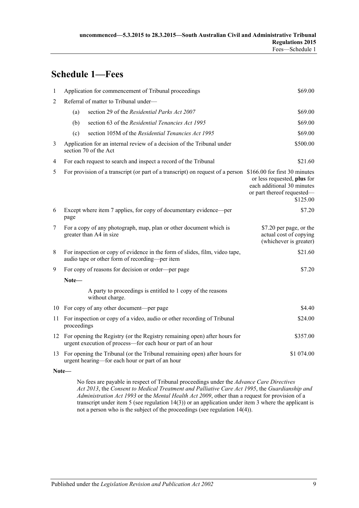# <span id="page-8-0"></span>**Schedule 1—Fees**

| 1              |                                                                                                                                               | Application for commencement of Tribunal proceedings                                                                                         | \$69.00                                                                                             |  |
|----------------|-----------------------------------------------------------------------------------------------------------------------------------------------|----------------------------------------------------------------------------------------------------------------------------------------------|-----------------------------------------------------------------------------------------------------|--|
| $\overline{2}$ | Referral of matter to Tribunal under-                                                                                                         |                                                                                                                                              |                                                                                                     |  |
|                | (a)                                                                                                                                           | section 29 of the Residential Parks Act 2007                                                                                                 | \$69.00                                                                                             |  |
|                | (b)                                                                                                                                           | section 63 of the Residential Tenancies Act 1995                                                                                             | \$69.00                                                                                             |  |
|                | (c)                                                                                                                                           | section 105M of the Residential Tenancies Act 1995                                                                                           | \$69.00                                                                                             |  |
| 3              | \$500.00<br>Application for an internal review of a decision of the Tribunal under<br>section 70 of the Act                                   |                                                                                                                                              |                                                                                                     |  |
| 4              |                                                                                                                                               | For each request to search and inspect a record of the Tribunal                                                                              | \$21.60                                                                                             |  |
| 5              |                                                                                                                                               | For provision of a transcript (or part of a transcript) on request of a person \$166.00 for first 30 minutes                                 | or less requested, plus for<br>each additional 30 minutes<br>or part thereof requested-<br>\$125.00 |  |
| 6              | page                                                                                                                                          | Except where item 7 applies, for copy of documentary evidence—per                                                                            | \$7.20                                                                                              |  |
| 7              |                                                                                                                                               | For a copy of any photograph, map, plan or other document which is<br>greater than A4 in size                                                | \$7.20 per page, or the<br>actual cost of copying<br>(whichever is greater)                         |  |
| 8              |                                                                                                                                               | For inspection or copy of evidence in the form of slides, film, video tape,<br>audio tape or other form of recording-per item                | \$21.60                                                                                             |  |
| 9              | For copy of reasons for decision or order—per page                                                                                            |                                                                                                                                              | \$7.20                                                                                              |  |
|                | Note-                                                                                                                                         |                                                                                                                                              |                                                                                                     |  |
|                |                                                                                                                                               | A party to proceedings is entitled to 1 copy of the reasons<br>without charge.                                                               |                                                                                                     |  |
|                |                                                                                                                                               | 10 For copy of any other document—per page                                                                                                   | \$4.40                                                                                              |  |
|                | proceedings                                                                                                                                   | 11 For inspection or copy of a video, audio or other recording of Tribunal                                                                   | \$24.00                                                                                             |  |
|                |                                                                                                                                               | 12 For opening the Registry (or the Registry remaining open) after hours for<br>urgent execution of process—for each hour or part of an hour | \$357.00                                                                                            |  |
|                | 13 For opening the Tribunal (or the Tribunal remaining open) after hours for<br>\$1 074.00<br>urgent hearing—for each hour or part of an hour |                                                                                                                                              |                                                                                                     |  |

**Note—**

No fees are payable in respect of Tribunal proceedings under the *[Advance Care Directives](http://www.legislation.sa.gov.au/index.aspx?action=legref&type=act&legtitle=Advance%20Care%20Directives%20Act%202013)  Act [2013](http://www.legislation.sa.gov.au/index.aspx?action=legref&type=act&legtitle=Advance%20Care%20Directives%20Act%202013)*, the *[Consent to Medical Treatment and Palliative Care Act](http://www.legislation.sa.gov.au/index.aspx?action=legref&type=act&legtitle=Consent%20to%20Medical%20Treatment%20and%20Palliative%20Care%20Act%201995) 1995*, the *[Guardianship and](http://www.legislation.sa.gov.au/index.aspx?action=legref&type=act&legtitle=Guardianship%20and%20Administration%20Act%201993)  [Administration Act](http://www.legislation.sa.gov.au/index.aspx?action=legref&type=act&legtitle=Guardianship%20and%20Administration%20Act%201993) 1993* or the *[Mental Health Act](http://www.legislation.sa.gov.au/index.aspx?action=legref&type=act&legtitle=Mental%20Health%20Act%202009) 2009*, other than a request for provision of a transcript under item 5 (se[e regulation](#page-6-3) 14(3)) or an application under item 3 where the applicant is not a person who is the subject of the proceedings (se[e regulation](#page-6-2) 14(4)).